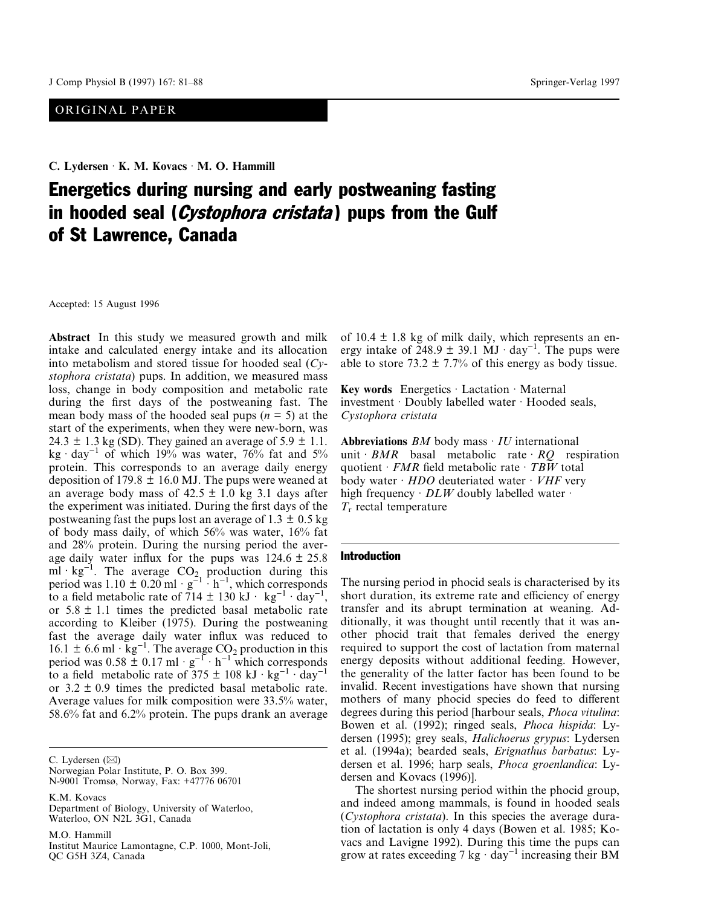# ORIGINAL PAPER

**C. Lydersen** · **K. M. Kovacs** · **M. O. Hammill**

# Energetics during nursing and early postweaning fasting in hooded seal (*Cystophora cristata*) pups from the Gulf of St Lawrence, Canada

Accepted: 15 August 1996

**Abstract** In this study we measured growth and milk intake and calculated energy intake and its allocation into metabolism and stored tissue for hooded seal (*Cystophora cristata*) pups. In addition, we measured mass loss, change in body composition and metabolic rate during the first days of the postweaning fast. The mean body mass of the hooded seal pups  $(n = 5)$  at the start of the experiments, when they were new-born, was 24.3  $\pm$  1.3 kg (SD). They gained an average of 5.9  $\pm$  1.1. kg · day<sup>-1</sup> of which 19% was water, 76% fat and 5% protein. This corresponds to an average daily energy deposition of 179.8  $\pm$  16.0 MJ. The pups were weaned at an average body mass of  $42.5 \pm 1.0$  kg 3.1 days after the experiment was initiated. During the first days of the postweaning fast the pups lost an average of  $1.3 \pm 0.5$  kg of body mass daily, of which 56% was water, 16% fat and 28% protein. During the nursing period the average daily water influx for the pups was  $124.6 \pm 25.8$ ml · kg<sup>-1</sup>. The average  $CO<sub>2</sub>$  production during this period was 1.10  $\pm$  0.20 ml  $\cdot$  g<sup>-1</sup>  $\cdot$  h<sup>-1</sup>, which corresponds to a field metabolic rate of  $\overline{7}14 \pm 130 \text{ kJ} \cdot \text{kg}^{-1} \cdot \text{day}^{-1}$ , or  $5.8 \pm 1.1$  times the predicted basal metabolic rate according to Kleiber (1975). During the postweaning fast the average daily water influx was reduced to 16.1  $\pm$  6.6 ml · kg<sup>-1</sup>. The average CO<sub>2</sub> production in this period was  $0.58 \pm 0.17$  ml ·  $g^{-1}$  · h<sup>-1</sup> which corresponds to a field metabolic rate of  $375 \pm 108 \text{ kJ} \cdot \text{kg}^{-1} \cdot \text{day}^{-1}$ or  $3.2 \pm 0.9$  times the predicted basal metabolic rate. Average values for milk composition were 33.5% water, 58.6% fat and 6.2% protein. The pups drank an average

C. Lydersen  $(\boxtimes)$ 

Norwegian Polar Institute, P. O. Box 399. N-9001 Tromsø, Norway, Fax: +47776 06701

K.M. Kovacs

Department of Biology, University of Waterloo, Waterloo, ON N2L 3G1, Canada

M.O. Hammill

Institut Maurice Lamontagne, C.P. 1000, Mont-Joli, QC G5H 3Z4, Canada

of  $10.4 \pm 1.8$  kg of milk daily, which represents an energy intake of  $\overline{248.9 \pm 39.1 \text{ MJ} \cdot \text{day}^{-1}}$ . The pups were able to store 73.2  $\pm$  7.7% of this energy as body tissue.

**Key words** Energetics · Lactation · Maternal investment · Doubly labelled water · Hooded seals, *Cystophora cristata*

**Abbreviations** *BM* body mass · *IU* international unit  $BMR$  basal metabolic rate  $RO$  respiration quotient · *FMR* field metabolic rate · *TBW* total body water · *HDO* deuteriated water · *VHF* very high frequency  $\cdot$  *DLW* doubly labelled water  $\cdot$ *T*<sup>r</sup> rectal temperature

#### Introduction

The nursing period in phocid seals is characterised by its short duration, its extreme rate and efficiency of energy transfer and its abrupt termination at weaning. Additionally, it was thought until recently that it was another phocid trait that females derived the energy required to support the cost of lactation from maternal energy deposits without additional feeding. However, the generality of the latter factor has been found to be invalid. Recent investigations have shown that nursing mothers of many phocid species do feed to different degrees during this period [harbour seals, *Phoca vitulina*: Bowen et al. (1992); ringed seals, *Phoca hispida*: Lydersen (1995); grey seals, *Halichoerus grypus*: Lydersen et al. (1994a); bearded seals, *Erignathus barbatus*: Lydersen et al. 1996; harp seals, *Phoca groenlandica*: Lydersen and Kovacs (1996)].

The shortest nursing period within the phocid group, and indeed among mammals, is found in hooded seals (*Cystophora cristata*). In this species the average duration of lactation is only 4 days (Bowen et al. 1985; Kovacs and Lavigne 1992). During this time the pups can grow at rates exceeding  $7 \text{ kg} \cdot \text{day}^{-1}$  increasing their BM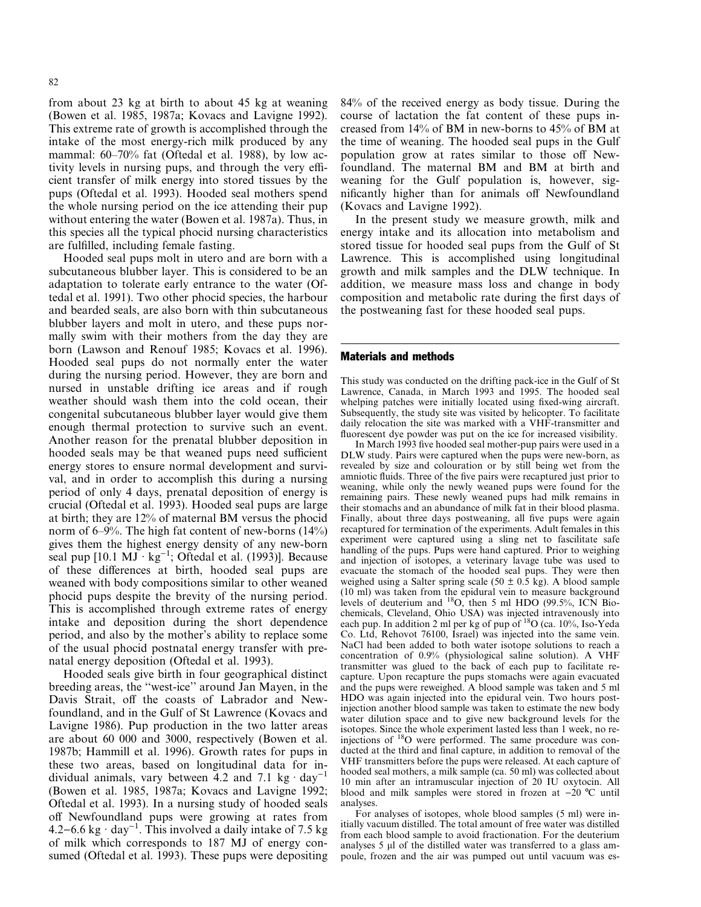from about 23 kg at birth to about 45 kg at weaning (Bowen et al. 1985, 1987a; Kovacs and Lavigne 1992). This extreme rate of growth is accomplished through the intake of the most energy-rich milk produced by any mammal: 60–70% fat (Oftedal et al. 1988), by low activity levels in nursing pups, and through the very efficient transfer of milk energy into stored tissues by the pups (Oftedal et al. 1993). Hooded seal mothers spend the whole nursing period on the ice attending their pup without entering the water (Bowen et al. 1987a). Thus, in this species all the typical phocid nursing characteristics are fulfilled, including female fasting.

Hooded seal pups molt in utero and are born with a subcutaneous blubber layer. This is considered to be an adaptation to tolerate early entrance to the water (Oftedal et al. 1991). Two other phocid species, the harbour and bearded seals, are also born with thin subcutaneous blubber layers and molt in utero, and these pups normally swim with their mothers from the day they are born (Lawson and Renouf 1985; Kovacs et al. 1996). Hooded seal pups do not normally enter the water during the nursing period. However, they are born and nursed in unstable drifting ice areas and if rough weather should wash them into the cold ocean, their congenital subcutaneous blubber layer would give them enough thermal protection to survive such an event. Another reason for the prenatal blubber deposition in hooded seals may be that weaned pups need sufficient energy stores to ensure normal development and survival, and in order to accomplish this during a nursing period of only 4 days, prenatal deposition of energy is crucial (Oftedal et al. 1993). Hooded seal pups are large at birth; they are 12% of maternal BM versus the phocid norm of 6–9%. The high fat content of new-borns (14%) gives them the highest energy density of any new-born seal pup  $[10.1 \text{ MJ} \cdot \text{kg}^{-1}]$ ; Oftedal et al. (1993)]. Because of these differences at birth, hooded seal pups are weaned with body compositions similar to other weaned phocid pups despite the brevity of the nursing period. This is accomplished through extreme rates of energy intake and deposition during the short dependence period, and also by the mother's ability to replace some of the usual phocid postnatal energy transfer with prenatal energy deposition (Oftedal et al. 1993).

Hooded seals give birth in four geographical distinct breeding areas, the ''west-ice'' around Jan Mayen, in the Davis Strait, off the coasts of Labrador and Newfoundland, and in the Gulf of St Lawrence (Kovacs and Lavigne 1986). Pup production in the two latter areas are about 60 000 and 3000, respectively (Bowen et al. 1987b; Hammill et al. 1996). Growth rates for pups in these two areas, based on longitudinal data for individual animals, vary between 4.2 and 7.1 kg  $\cdot$  day<sup>-1</sup> (Bowen et al. 1985, 1987a; Kovacs and Lavigne 1992; Oftedal et al. 1993). In a nursing study of hooded seals off Newfoundland pups were growing at rates from 4.2–6.6 kg  $\cdot$  day<sup>-1</sup>. This involved a daily intake of 7.5 kg of milk which corresponds to 187 MJ of energy consumed (Oftedal et al. 1993). These pups were depositing 84% of the received energy as body tissue. During the course of lactation the fat content of these pups increased from 14% of BM in new-borns to 45% of BM at the time of weaning. The hooded seal pups in the Gulf population grow at rates similar to those off Newfoundland. The maternal BM and BM at birth and weaning for the Gulf population is, however, significantly higher than for animals off Newfoundland (Kovacs and Lavigne 1992).

In the present study we measure growth, milk and energy intake and its allocation into metabolism and stored tissue for hooded seal pups from the Gulf of St Lawrence. This is accomplished using longitudinal growth and milk samples and the DLW technique. In addition, we measure mass loss and change in body composition and metabolic rate during the first days of the postweaning fast for these hooded seal pups.

#### Materials and methods

This study was conducted on the drifting pack-ice in the Gulf of St Lawrence, Canada, in March 1993 and 1995. The hooded seal whelping patches were initially located using fixed-wing aircraft. Subsequently, the study site was visited by helicopter. To facilitate daily relocation the site was marked with a VHF-transmitter and fluorescent dye powder was put on the ice for increased visibility.

In March 1993 five hooded seal mother-pup pairs were used in a DLW study. Pairs were captured when the pups were new-born, as revealed by size and colouration or by still being wet from the amniotic fluids. Three of the five pairs were recaptured just prior to weaning, while only the newly weaned pups were found for the remaining pairs. These newly weaned pups had milk remains in their stomachs and an abundance of milk fat in their blood plasma. Finally, about three days postweaning, all five pups were again recaptured for termination of the experiments. Adult females in this experiment were captured using a sling net to fascilitate safe handling of the pups. Pups were hand captured. Prior to weighing and injection of isotopes, a veterinary lavage tube was used to evacuate the stomach of the hooded seal pups. They were then weighed using a Salter spring scale (50  $\pm$  0.5 kg). A blood sample (10 ml) was taken from the epidural vein to measure background levels of deuterium and <sup>18</sup>O, then 5 ml HDO (99.5%, ICN Biochemicals, Cleveland, Ohio USA) was injected intravenously into each pup. In addition 2 ml per kg of pup of <sup>18</sup>O (ca. 10%, Iso-Yeda Co. Ltd, Rehovot 76100, Israel) was injected into the same vein. NaCl had been added to both water isotope solutions to reach a concentration of 0.9% (physiological saline solution). A VHF transmitter was glued to the back of each pup to facilitate recapture. Upon recapture the pups stomachs were again evacuated and the pups were reweighed. A blood sample was taken and 5 ml HDO was again injected into the epidural vein. Two hours postinjection another blood sample was taken to estimate the new body water dilution space and to give new background levels for the isotopes. Since the whole experiment lasted less than 1 week, no reinjections of <sup>18</sup>O were performed. The same procedure was conducted at the third and final capture, in addition to removal of the VHF transmitters before the pups were released. At each capture of hooded seal mothers, a milk sample (ca. 50 ml) was collected about 10 min after an intramuscular injection of 20 IU oxytocin. All blood and milk samples were stored in frozen at  $-20$  °C until analyses.

For analyses of isotopes, whole blood samples (5 ml) were initially vacuum distilled. The total amount of free water was distilled from each blood sample to avoid fractionation. For the deuterium analyses  $5 \mu$ l of the distilled water was transferred to a glass ampoule, frozen and the air was pumped out until vacuum was es-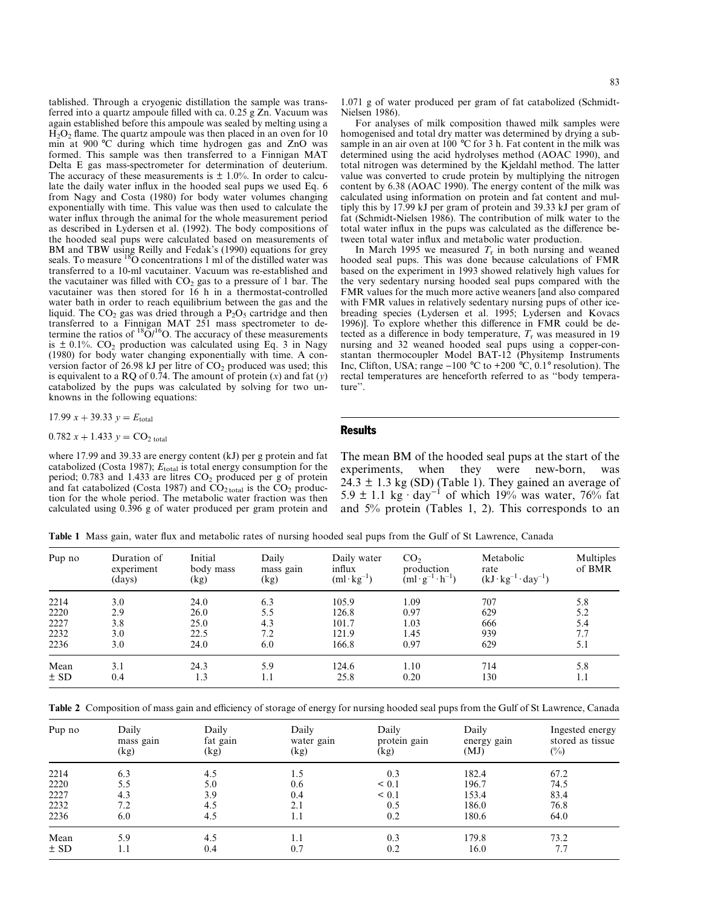tablished. Through a cryogenic distillation the sample was transferred into a quartz ampoule filled with ca. 0.25 g Zn. Vacuum was again established before this ampoule was sealed by melting using a  $H<sub>2</sub>O<sub>2</sub>$  flame. The quartz ampoule was then placed in an oven for 10 min at 900 °C during which time hydrogen gas and ZnO was formed. This sample was then transferred to a Finnigan MAT Delta E gas mass-spectrometer for determination of deuterium. The accuracy of these measurements is  $\pm$  1.0%. In order to calculate the daily water influx in the hooded seal pups we used Eq. 6 from Nagy and Costa (1980) for body water volumes changing exponentially with time. This value was then used to calculate the water influx through the animal for the whole measurement period as described in Lydersen et al. (1992). The body compositions of the hooded seal pups were calculated based on measurements of BM and TBW using Reilly and Fedak's (1990) equations for grey seals. To measure  $^{18}$ O concentrations 1 ml of the distilled water was transferred to a 10-ml vacutainer. Vacuum was re-established and the vacutainer was filled with  $CO<sub>2</sub>$  gas to a pressure of 1 bar. The vacutainer was then stored for 16 h in a thermostat-controlled water bath in order to reach equilibrium between the gas and the liquid. The  $CO<sub>2</sub>$  gas was dried through a  $P<sub>2</sub>O<sub>5</sub>$  cartridge and then transferred to a Finnigan MAT 251 mass spectrometer to determine the ratios of  $^{18}O/^{16}O$ . The accuracy of these measurements is  $\pm$  0.1%. CO<sub>2</sub> production was calculated using Eq. 3 in Nagy (1980) for body water changing exponentially with time. A conversion factor of 26.98 kJ per litre of  $CO<sub>2</sub>$  produced was used; this is equivalent to a RQ of 0.74. The amount of protein (*x*) and fat (*y*) catabolized by the pups was calculated by solving for two unknowns in the following equations:

$$
17.99 \, x + 39.33 \, y = E_{\text{total}}
$$

$$
0.782 x + 1.433 y = CO_{2 total}
$$

 $0.782 x + 1.433 y = CO<sub>2 total</sub>$ <br>where 17.99 and 39.33 are energy content (kJ) per g protein and fat catabolized (Costa 1987);  $E_{total}$  is total energy consumption for the period; 0.783 and 1.433 are litres  $CO<sub>2</sub>$  produced per g of protein and fat catabolized (Costa 1987) and  $CO<sub>2 total</sub>$  is the  $CO<sub>2</sub>$  production for the whole period. The metabolic water fraction was then calculated using 0.396 g of water produced per gram protein and

1.071 g of water produced per gram of fat catabolized (Schmidt-Nielsen 1986).

For analyses of milk composition thawed milk samples were homogenised and total dry matter was determined by drying a subsample in an air oven at 100 °C for 3 h. Fat content in the milk was determined using the acid hydrolyses method (AOAC 1990), and total nitrogen was determined by the Kjeldahl method. The latter value was converted to crude protein by multiplying the nitrogen content by 6.38 (AOAC 1990). The energy content of the milk was calculated using information on protein and fat content and multiply this by 17.99 kJ per gram of protein and 39.33 kJ per gram of fat (Schmidt-Nielsen 1986). The contribution of milk water to the total water influx in the pups was calculated as the difference between total water influx and metabolic water production.

In March 1995 we measured  $T_r$  in both nursing and weaned hooded seal pups. This was done because calculations of FMR based on the experiment in 1993 showed relatively high values for the very sedentary nursing hooded seal pups compared with the FMR values for the much more active weaners [and also compared with FMR values in relatively sedentary nursing pups of other icebreading species (Lydersen et al. 1995; Lydersen and Kovacs 1996)]. To explore whether this difference in FMR could be detected as a difference in body temperature,  $T_r$  was measured in 19 nursing and 32 weaned hooded seal pups using a copper-constantan thermocoupler Model BAT-12 (Physitemp Instruments Inc, Clifton, USA; range  $-100$  °C to  $+200$  °C, 0.1° resolution). The rectal temperatures are henceforth referred to as ''body temperature''.

## Results

The mean BM of the hooded seal pups at the start of the experiments, when they were new-born, 24.3  $\pm$  1.3 kg (SD) (Table 1). They gained an average of 5.9  $\pm$  1.1 kg·day<sup>-1</sup> of which 19% was water, 76% fat and 5% protein (Tables 1, 2). This corresponds to an

**Table 1** Mass gain, water flux and metabolic rates of nursing hooded seal pups from the Gulf of St Lawrence, Canada

| Pup no | Duration of<br>experiment<br>(days) | Initial<br>body mass<br>(kg) | Daily<br>mass gain<br>(kg) | Daily water<br>influx<br>$(ml \cdot kg^{-1})$ | CO <sub>2</sub><br>production<br>$(ml \cdot g^{-1} \cdot h^{-1})$ | Metabolic<br>rate<br>$(kJ \cdot kg^{-1} \cdot day^{-1})$ | Multiples<br>of BMR |
|--------|-------------------------------------|------------------------------|----------------------------|-----------------------------------------------|-------------------------------------------------------------------|----------------------------------------------------------|---------------------|
| 2214   | 3.0                                 | 24.0                         | 6.3                        | 105.9                                         | 1.09                                                              | 707                                                      | 5.8                 |
| 2220   | 2.9                                 | 26.0                         | 5.5                        | 126.8                                         | 0.97                                                              | 629                                                      | 5.2                 |
| 2227   | 3.8                                 | 25.0                         | 4.3                        | 101.7                                         | 1.03                                                              | 666                                                      | 5.4                 |
| 2232   | 3.0                                 | 22.5                         | 7.2                        | 121.9                                         | 1.45                                                              | 939                                                      | 7.7                 |
| 2236   | 3.0                                 | 24.0                         | 6.0                        | 166.8                                         | 0.97                                                              | 629                                                      | 5.1                 |
| Mean   | 3.1                                 | 24.3                         | 5.9                        | 124.6                                         | 1.10                                                              | 714                                                      | 5.8                 |
| ± SD   | 0.4                                 | 1.3                          | 1.1                        | 25.8                                          | 0.20                                                              | 130                                                      | 1.1                 |

**Table 2** Composition of mass gain and efficiency of storage of energy for nursing hooded seal pups from the Gulf of St Lawrence, Canada

| Pup no | Daily<br>mass gain<br>(kg) | Daily<br>fat gain<br>(kg) | Daily<br>water gain<br>(kg) | Daily<br>protein gain<br>(kg) | Daily<br>energy gain<br>(MJ) | Ingested energy<br>stored as tissue<br>$(\%)$ |
|--------|----------------------------|---------------------------|-----------------------------|-------------------------------|------------------------------|-----------------------------------------------|
| 2214   | 6.3                        | 4.5                       | 1.5                         | 0.3                           | 182.4                        | 67.2                                          |
| 2220   | 5.5                        | 5.0                       | 0.6                         | < 0.1                         | 196.7                        | 74.5                                          |
| 2227   | 4.3                        | 3.9                       | 0.4                         | < 0.1                         | 153.4                        | 83.4                                          |
| 2232   | 7.2                        | 4.5                       | 2.1                         | 0.5                           | 186.0                        | 76.8                                          |
| 2236   | 6.0                        | 4.5                       | 1.1                         | 0.2                           | 180.6                        | 64.0                                          |
| Mean   | 5.9                        | 4.5                       | 1.1                         | 0.3                           | 179.8                        | 73.2                                          |
| ± SD   | 1.1                        | 0.4                       | 0.7                         | 0.2                           | 16.0                         | 7.7                                           |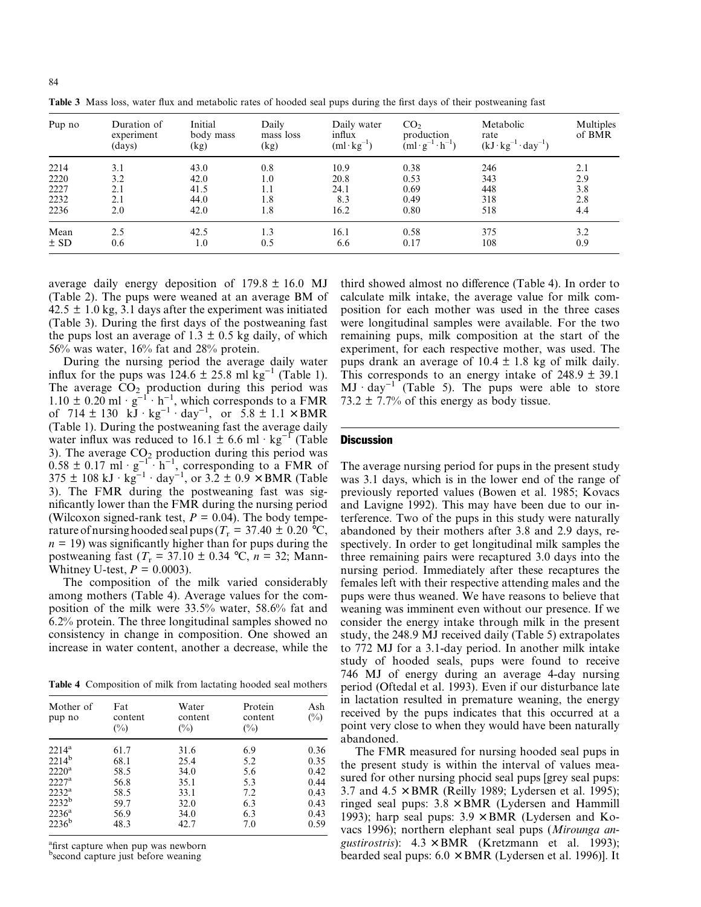| Pup no | Duration of<br>experiment<br>(days) | Initial<br>body mass<br>(kg) | Daily<br>mass loss<br>(kg) | Daily water<br>influx<br>$(ml \cdot kg^{-1})$ | CO <sub>2</sub><br>production<br>$(ml \cdot g^{-1} \cdot h^{-1})$ | Metabolic<br>rate<br>$(kJ \cdot kg^{-1} \cdot day^{-1})$ | Multiples<br>of BMR |
|--------|-------------------------------------|------------------------------|----------------------------|-----------------------------------------------|-------------------------------------------------------------------|----------------------------------------------------------|---------------------|
| 2214   | 3.1                                 | 43.0                         | 0.8                        | 10.9                                          | 0.38                                                              | 246                                                      | 2.1                 |
| 2220   | 3.2                                 | 42.0                         | 1.0                        | 20.8                                          | 0.53                                                              | 343                                                      | 2.9                 |
| 2227   | 2.1                                 | 41.5                         | 1.1                        | 24.1                                          | 0.69                                                              | 448                                                      | 3.8                 |
| 2232   | 2.1                                 | 44.0                         | 1.8                        | 8.3                                           | 0.49                                                              | 318                                                      | 2.8                 |
| 2236   | 2.0                                 | 42.0                         | 1.8                        | 16.2                                          | 0.80                                                              | 518                                                      | 4.4                 |
| Mean   | 2.5                                 | 42.5                         | 1.3                        | 16.1                                          | 0.58                                                              | 375                                                      | 3.2                 |
| ± SD   | 0.6                                 | $_{1.0}$                     | 0.5                        | 6.6                                           | 0.17                                                              | 108                                                      | 0.9                 |

**Table 3** Mass loss, water flux and metabolic rates of hooded seal pups during the first days of their postweaning fast

average daily energy deposition of  $179.8 \pm 16.0$  MJ (Table 2). The pups were weaned at an average BM of  $42.5 \pm 1.0$  kg, 3.1 days after the experiment was initiated (Table 3). During the first days of the postweaning fast the pups lost an average of 1.3  $\pm$  0.5 kg daily, of which 56% was water, 16% fat and 28% protein.

During the nursing period the average daily water influx for the pups was  $124.6 \pm 25.8$  ml kg<sup>-1</sup> (Table 1). The average  $CO<sub>2</sub>$  production during this period was  $1.10 \pm 0.20$  ml ·  $g^{-1} \cdot h^{-1}$ , which corresponds to a FMR of  $714 \pm 130 \text{ kJ} \cdot \text{kg}^{-1} \cdot \text{day}^{-1}$ , or  $5.8 \pm 1.1 \times \text{BMR}$ (Table 1). During the postweaning fast the average daily water influx was reduced to 16.1  $\pm$  6.6 ml · kg<sup>-1</sup> (Table 3). The average  $CO<sub>2</sub>$  production during this period was  $0.58 \pm 0.17$  ml ·  $g^{-1}$  · h<sup>-1</sup>, corresponding to a FMR of 375  $\pm$  108 kJ · kg<sup>-1</sup> · day<sup>-1</sup>, or 3.2  $\pm$  0.9  $\times$  BMR (Table 3). The FMR during the postweaning fast was significantly lower than the FMR during the nursing period (Wilcoxon signed-rank test,  $P = 0.04$ ). The body temperature of nursing hooded seal pups ( $T_r = 37.40 \pm 0.20$  °C,  $n = 19$ ) was significantly higher than for pups during the postweaning fast  $(T_r = 37.10 \pm 0.34 \degree C, n = 32;$  Mann-Whitney U-test,  $P = 0.0003$ ).

The composition of the milk varied considerably among mothers (Table 4). Average values for the composition of the milk were 33.5% water, 58.6% fat and 6.2% protein. The three longitudinal samples showed no consistency in change in composition. One showed an increase in water content, another a decrease, while the

**Table 4** Composition of milk from lactating hooded seal mothers

| Mother of<br>pup no | Fat<br>content<br>$(\%)$ | Water<br>content<br>$\binom{0}{0}$ | Protein<br>content<br>$\binom{0}{0}$ | Ash<br>$(\%)$ |
|---------------------|--------------------------|------------------------------------|--------------------------------------|---------------|
| $2214^a$            | 61.7                     | 31.6                               | 6.9                                  | 0.36          |
| $2214^{b}$          | 68.1                     | 25.4                               | 5.2                                  | 0.35          |
| $2220^a$            | 58.5                     | 34.0                               | 5.6                                  | 0.42          |
| $2227^{\rm a}$      | 56.8                     | 35.1                               | 5.3                                  | 0.44          |
| $2232^a$            | 58.5                     | 33.1                               | 7.2                                  | 0.43          |
| $2232^b$            | 59.7                     | 32.0                               | 6.3                                  | 0.43          |
| $2236^{\mathrm{a}}$ | 56.9                     | 34.0                               | 6.3                                  | 0.43          |
| $2236^b$            | 48.3                     | 42.7                               | 7.0                                  | 0.59          |

<sup>a</sup>first capture when pup was newborn

b second capture just before weaning

third showed almost no difference (Table 4). In order to calculate milk intake, the average value for milk composition for each mother was used in the three cases were longitudinal samples were available. For the two remaining pups, milk composition at the start of the experiment, for each respective mother, was used. The pups drank an average of  $10.4 \pm 1.8$  kg of milk daily. This corresponds to an energy intake of  $248.9 \pm 39.1$  $MJ \cdot day^{-1}$  (Table 5). The pups were able to store 73.2  $\pm$  7.7% of this energy as body tissue.

## **Discussion**

The average nursing period for pups in the present study was 3.1 days, which is in the lower end of the range of previously reported values (Bowen et al. 1985; Kovacs and Lavigne 1992). This may have been due to our interference. Two of the pups in this study were naturally abandoned by their mothers after 3.8 and 2.9 days, respectively. In order to get longitudinal milk samples the three remaining pairs were recaptured 3.0 days into the nursing period. Immediately after these recaptures the females left with their respective attending males and the pups were thus weaned. We have reasons to believe that weaning was imminent even without our presence. If we consider the energy intake through milk in the present study, the 248.9 MJ received daily (Table 5) extrapolates to 772 MJ for a 3.1-day period. In another milk intake study of hooded seals, pups were found to receive 746 MJ of energy during an average 4-day nursing period (Oftedal et al. 1993). Even if our disturbance late in lactation resulted in premature weaning, the energy received by the pups indicates that this occurred at a point very close to when they would have been naturally abandoned.

The FMR measured for nursing hooded seal pups in the present study is within the interval of values measured for other nursing phocid seal pups [grey seal pups: 3.7 and  $4.5 \times$  BMR (Reilly 1989; Lydersen et al. 1995); ringed seal pups:  $3.8 \times BMR$  (Lydersen and Hammill 1993); harp seal pups:  $3.9 \times BMR$  (Lydersen and Kovacs 1996); northern elephant seal pups (*Mirounga angustirostris*): 4.3 × BMR (Kretzmann et al. 1993); bearded seal pups:  $6.0 \times BMR$  (Lydersen et al. 1996)]. It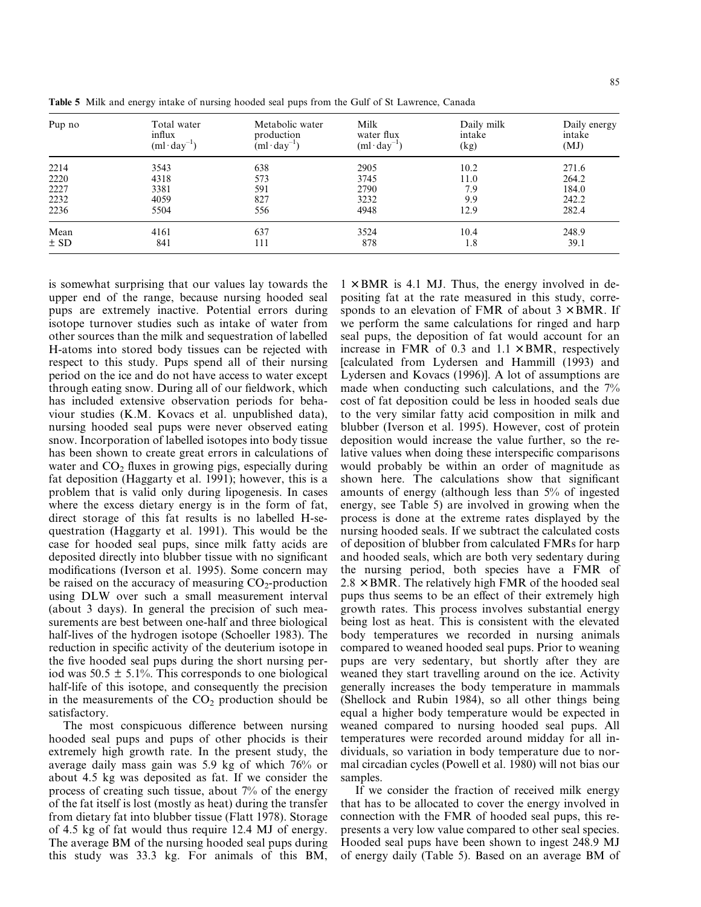| Pup no | Total water<br>influx<br>$(ml \cdot day^{-1})$ | Metabolic water<br>production<br>$(ml \cdot day^{-1})$ | Milk<br>water flux<br>$(ml \cdot day^{-1})$ | Daily milk<br>intake<br>(kg) | Daily energy<br>intake<br>(MJ) |
|--------|------------------------------------------------|--------------------------------------------------------|---------------------------------------------|------------------------------|--------------------------------|
| 2214   | 3543                                           | 638                                                    | 2905                                        | 10.2                         | 271.6                          |
| 2220   | 4318                                           | 573                                                    | 3745                                        | 11.0                         | 264.2                          |
| 2227   | 3381                                           | 591                                                    | 2790                                        | 7.9                          | 184.0                          |
| 2232   | 4059                                           | 827                                                    | 3232                                        | 9.9                          | 242.2                          |
| 2236   | 5504                                           | 556                                                    | 4948                                        | 12.9                         | 282.4                          |
| Mean   | 4161                                           | 637                                                    | 3524                                        | 10.4                         | 248.9                          |
| ± SD   | 841                                            | 111                                                    | 878                                         | 1.8                          | 39.1                           |

**Table 5** Milk and energy intake of nursing hooded seal pups from the Gulf of St Lawrence, Canada

is somewhat surprising that our values lay towards the upper end of the range, because nursing hooded seal pups are extremely inactive. Potential errors during isotope turnover studies such as intake of water from other sources than the milk and sequestration of labelled H-atoms into stored body tissues can be rejected with respect to this study. Pups spend all of their nursing period on the ice and do not have access to water except through eating snow. During all of our fieldwork, which has included extensive observation periods for behaviour studies (K.M. Kovacs et al. unpublished data), nursing hooded seal pups were never observed eating snow. Incorporation of labelled isotopes into body tissue has been shown to create great errors in calculations of water and  $CO<sub>2</sub>$  fluxes in growing pigs, especially during fat deposition (Haggarty et al. 1991); however, this is a problem that is valid only during lipogenesis. In cases where the excess dietary energy is in the form of fat, direct storage of this fat results is no labelled H-sequestration (Haggarty et al. 1991). This would be the case for hooded seal pups, since milk fatty acids are deposited directly into blubber tissue with no significant modifications (Iverson et al. 1995). Some concern may be raised on the accuracy of measuring  $CO<sub>2</sub>$ -production using DLW over such a small measurement interval (about 3 days). In general the precision of such measurements are best between one-half and three biological half-lives of the hydrogen isotope (Schoeller 1983). The reduction in specific activity of the deuterium isotope in the five hooded seal pups during the short nursing period was  $50.5 \pm 5.1\%$ . This corresponds to one biological half-life of this isotope, and consequently the precision in the measurements of the  $CO<sub>2</sub>$  production should be satisfactory.

The most conspicuous difference between nursing hooded seal pups and pups of other phocids is their extremely high growth rate. In the present study, the average daily mass gain was 5.9 kg of which 76% or about 4.5 kg was deposited as fat. If we consider the process of creating such tissue, about 7% of the energy of the fat itself is lost (mostly as heat) during the transfer from dietary fat into blubber tissue (Flatt 1978). Storage of 4.5 kg of fat would thus require 12.4 MJ of energy. The average BM of the nursing hooded seal pups during this study was 33.3 kg. For animals of this BM,  $1 \times BMR$  is 4.1 MJ. Thus, the energy involved in depositing fat at the rate measured in this study, corresponds to an elevation of FMR of about  $3 \times BMR$ . If we perform the same calculations for ringed and harp seal pups, the deposition of fat would account for an increase in FMR of 0.3 and  $1.1 \times BMR$ , respectively [calculated from Lydersen and Hammill (1993) and Lydersen and Kovacs (1996)]. A lot of assumptions are made when conducting such calculations, and the 7% cost of fat deposition could be less in hooded seals due to the very similar fatty acid composition in milk and blubber (Iverson et al. 1995). However, cost of protein deposition would increase the value further, so the relative values when doing these interspecific comparisons would probably be within an order of magnitude as shown here. The calculations show that significant amounts of energy (although less than 5% of ingested energy, see Table 5) are involved in growing when the process is done at the extreme rates displayed by the nursing hooded seals. If we subtract the calculated costs of deposition of blubber from calculated FMRs for harp and hooded seals, which are both very sedentary during the nursing period, both species have a FMR of  $2.8 \times$  BMR. The relatively high FMR of the hooded seal pups thus seems to be an effect of their extremely high growth rates. This process involves substantial energy being lost as heat. This is consistent with the elevated body temperatures we recorded in nursing animals compared to weaned hooded seal pups. Prior to weaning pups are very sedentary, but shortly after they are weaned they start travelling around on the ice. Activity generally increases the body temperature in mammals (Shellock and Rubin 1984), so all other things being equal a higher body temperature would be expected in weaned compared to nursing hooded seal pups. All temperatures were recorded around midday for all individuals, so variation in body temperature due to normal circadian cycles (Powell et al. 1980) will not bias our samples.

If we consider the fraction of received milk energy that has to be allocated to cover the energy involved in connection with the FMR of hooded seal pups, this represents a very low value compared to other seal species. Hooded seal pups have been shown to ingest 248.9 MJ of energy daily (Table 5). Based on an average BM of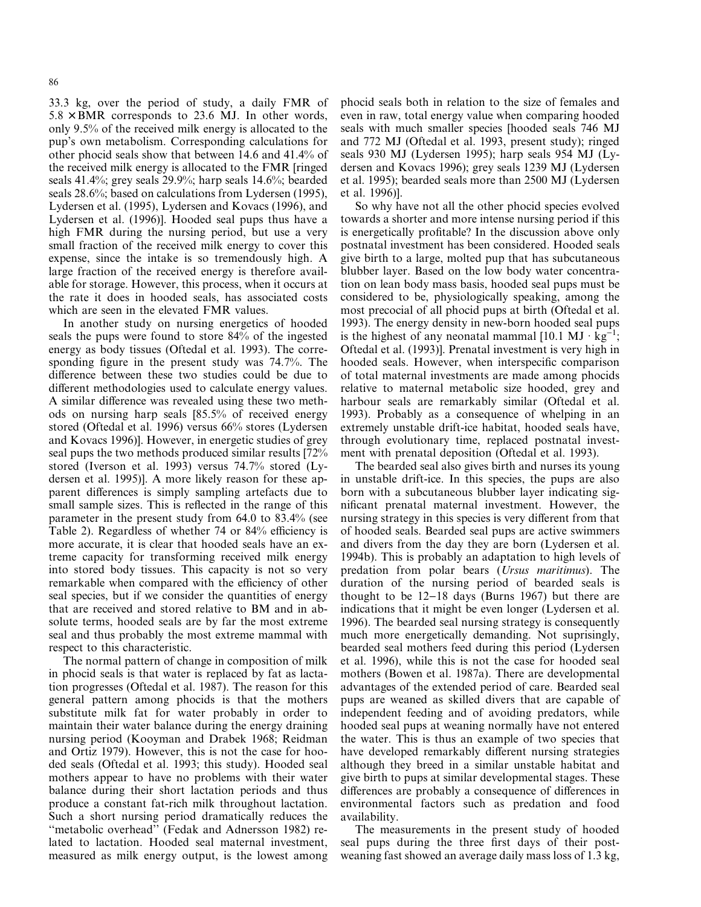33.3 kg, over the period of study, a daily FMR of  $5.8 \times$  BMR corresponds to 23.6 MJ. In other words, only 9.5% of the received milk energy is allocated to the pup's own metabolism. Corresponding calculations for other phocid seals show that between 14.6 and 41.4% of the received milk energy is allocated to the FMR [ringed seals 41.4%; grey seals 29.9%; harp seals 14.6%; bearded seals 28.6%; based on calculations from Lydersen (1995), Lydersen et al. (1995), Lydersen and Kovacs (1996), and Lydersen et al. (1996)]. Hooded seal pups thus have a high FMR during the nursing period, but use a very small fraction of the received milk energy to cover this expense, since the intake is so tremendously high. A large fraction of the received energy is therefore available for storage. However, this process, when it occurs at the rate it does in hooded seals, has associated costs which are seen in the elevated FMR values.

In another study on nursing energetics of hooded seals the pups were found to store 84% of the ingested energy as body tissues (Oftedal et al. 1993). The corresponding figure in the present study was 74.7%. The difference between these two studies could be due to different methodologies used to calculate energy values. A similar difference was revealed using these two methods on nursing harp seals [85.5% of received energy stored (Oftedal et al. 1996) versus 66% stores (Lydersen and Kovacs 1996)]. However, in energetic studies of grey seal pups the two methods produced similar results [72% stored (Iverson et al. 1993) versus 74.7% stored (Lydersen et al. 1995)]. A more likely reason for these apparent differences is simply sampling artefacts due to small sample sizes. This is reflected in the range of this parameter in the present study from 64.0 to 83.4% (see Table 2). Regardless of whether 74 or 84% efficiency is more accurate, it is clear that hooded seals have an extreme capacity for transforming received milk energy into stored body tissues. This capacity is not so very remarkable when compared with the efficiency of other seal species, but if we consider the quantities of energy that are received and stored relative to BM and in absolute terms, hooded seals are by far the most extreme seal and thus probably the most extreme mammal with respect to this characteristic.

The normal pattern of change in composition of milk in phocid seals is that water is replaced by fat as lactation progresses (Oftedal et al. 1987). The reason for this general pattern among phocids is that the mothers substitute milk fat for water probably in order to maintain their water balance during the energy draining nursing period (Kooyman and Drabek 1968; Reidman and Ortiz 1979). However, this is not the case for hooded seals (Oftedal et al. 1993; this study). Hooded seal mothers appear to have no problems with their water balance during their short lactation periods and thus produce a constant fat-rich milk throughout lactation. Such a short nursing period dramatically reduces the "metabolic overhead" (Fedak and Adnersson 1982) related to lactation. Hooded seal maternal investment, measured as milk energy output, is the lowest among phocid seals both in relation to the size of females and even in raw, total energy value when comparing hooded seals with much smaller species [hooded seals 746 MJ and 772 MJ (Oftedal et al. 1993, present study); ringed seals 930 MJ (Lydersen 1995); harp seals 954 MJ (Lydersen and Kovacs 1996); grey seals 1239 MJ (Lydersen et al. 1995); bearded seals more than 2500 MJ (Lydersen et al. 1996)].

So why have not all the other phocid species evolved towards a shorter and more intense nursing period if this is energetically profitable? In the discussion above only postnatal investment has been considered. Hooded seals give birth to a large, molted pup that has subcutaneous blubber layer. Based on the low body water concentration on lean body mass basis, hooded seal pups must be considered to be, physiologically speaking, among the most precocial of all phocid pups at birth (Oftedal et al. 1993). The energy density in new-born hooded seal pups is the highest of any neonatal mammal [10.1 MJ  $\cdot$  kg<sup>-1</sup>; Oftedal et al. (1993)]. Prenatal investment is very high in hooded seals. However, when interspecific comparison of total maternal investments are made among phocids relative to maternal metabolic size hooded, grey and harbour seals are remarkably similar (Oftedal et al. 1993). Probably as a consequence of whelping in an extremely unstable drift-ice habitat, hooded seals have, through evolutionary time, replaced postnatal investment with prenatal deposition (Oftedal et al. 1993).

The bearded seal also gives birth and nurses its young in unstable drift-ice. In this species, the pups are also born with a subcutaneous blubber layer indicating significant prenatal maternal investment. However, the nursing strategy in this species is very different from that of hooded seals. Bearded seal pups are active swimmers and divers from the day they are born (Lydersen et al. 1994b). This is probably an adaptation to high levels of predation from polar bears (*Ursus maritimus*). The duration of the nursing period of bearded seals is thought to be  $12-18$  days (Burns 1967) but there are indications that it might be even longer (Lydersen et al. 1996). The bearded seal nursing strategy is consequently much more energetically demanding. Not suprisingly, bearded seal mothers feed during this period (Lydersen et al. 1996), while this is not the case for hooded seal mothers (Bowen et al. 1987a). There are developmental advantages of the extended period of care. Bearded seal pups are weaned as skilled divers that are capable of independent feeding and of avoiding predators, while hooded seal pups at weaning normally have not entered the water. This is thus an example of two species that have developed remarkably different nursing strategies although they breed in a similar unstable habitat and give birth to pups at similar developmental stages. These differences are probably a consequence of differences in environmental factors such as predation and food availability.

The measurements in the present study of hooded seal pups during the three first days of their postweaning fast showed an average daily mass loss of 1.3 kg,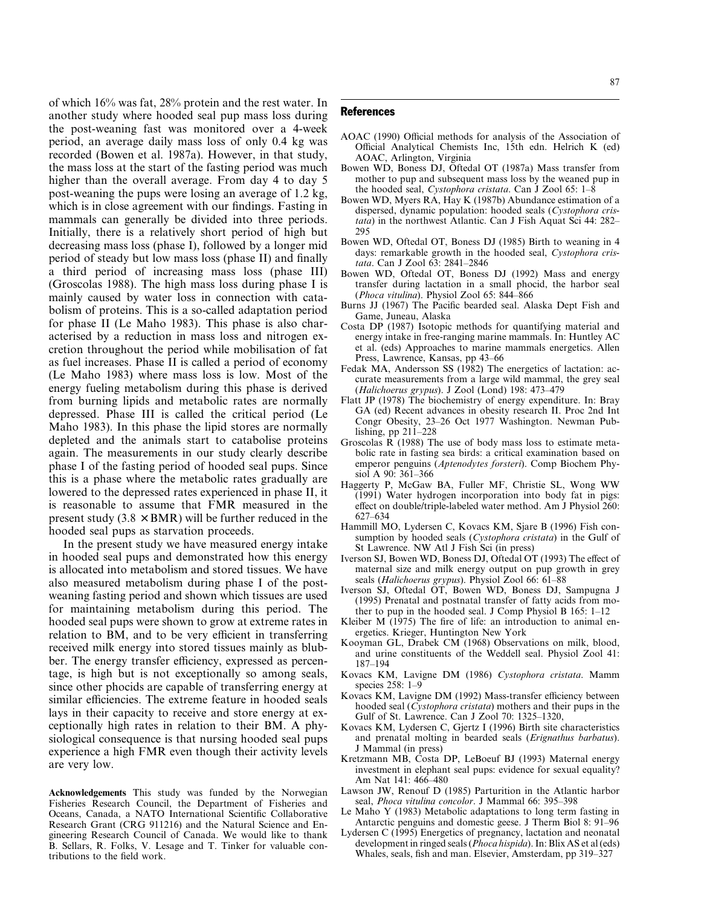of which 16% was fat, 28% protein and the rest water. In another study where hooded seal pup mass loss during the post-weaning fast was monitored over a 4-week period, an average daily mass loss of only 0.4 kg was recorded (Bowen et al. 1987a). However, in that study, the mass loss at the start of the fasting period was much higher than the overall average. From day 4 to day 5 post-weaning the pups were losing an average of 1.2 kg, which is in close agreement with our findings. Fasting in mammals can generally be divided into three periods. Initially, there is a relatively short period of high but decreasing mass loss (phase I), followed by a longer mid period of steady but low mass loss (phase II) and finally a third period of increasing mass loss (phase III) (Groscolas 1988). The high mass loss during phase I is mainly caused by water loss in connection with catabolism of proteins. This is a so-called adaptation period for phase II (Le Maho 1983). This phase is also characterised by a reduction in mass loss and nitrogen excretion throughout the period while mobilisation of fat as fuel increases. Phase II is called a period of economy (Le Maho 1983) where mass loss is low. Most of the energy fueling metabolism during this phase is derived from burning lipids and metabolic rates are normally depressed. Phase III is called the critical period (Le Maho 1983). In this phase the lipid stores are normally depleted and the animals start to catabolise proteins again. The measurements in our study clearly describe phase I of the fasting period of hooded seal pups. Since this is a phase where the metabolic rates gradually are lowered to the depressed rates experienced in phase II, it is reasonable to assume that FMR measured in the present study  $(3.8 \times BMR)$  will be further reduced in the hooded seal pups as starvation proceeds.

In the present study we have measured energy intake in hooded seal pups and demonstrated how this energy is allocated into metabolism and stored tissues. We have also measured metabolism during phase I of the postweaning fasting period and shown which tissues are used for maintaining metabolism during this period. The hooded seal pups were shown to grow at extreme rates in relation to BM, and to be very efficient in transferring received milk energy into stored tissues mainly as blubber. The energy transfer efficiency, expressed as percentage, is high but is not exceptionally so among seals, since other phocids are capable of transferring energy at similar efficiencies. The extreme feature in hooded seals lays in their capacity to receive and store energy at exceptionally high rates in relation to their BM. A physiological consequence is that nursing hooded seal pups experience a high FMR even though their activity levels are very low.

**Acknowledgements** This study was funded by the Norwegian Fisheries Research Council, the Department of Fisheries and Oceans, Canada, a NATO International Scientific Collaborative Research Grant (CRG 911216) and the Natural Science and Engineering Research Council of Canada. We would like to thank B. Sellars, R. Folks, V. Lesage and T. Tinker for valuable contributions to the field work.

# References

- AOAC (1990) Official methods for analysis of the Association of Official Analytical Chemists Inc, 15th edn. Helrich K (ed) AOAC, Arlington, Virginia
- Bowen WD, Boness DJ, Oftedal OT (1987a) Mass transfer from mother to pup and subsequent mass loss by the weaned pup in the hooded seal, *Cystophora cristata*. Can J Zool 65: 1–8
- Bowen WD, Myers RA, Hay K (1987b) Abundance estimation of a dispersed, dynamic population: hooded seals (*Cystophora cristata*) in the northwest Atlantic. Can J Fish Aquat Sci 44: 282– 295
- Bowen WD, Oftedal OT, Boness DJ (1985) Birth to weaning in 4 days: remarkable growth in the hooded seal, *Cystophora cristata*. Can J Zool 63: 2841–2846
- Bowen WD, Oftedal OT, Boness DJ (1992) Mass and energy transfer during lactation in a small phocid, the harbor seal (*Phoca vitulina*). Physiol Zool 65: 844–866
- Burns JJ (1967) The Pacific bearded seal. Alaska Dept Fish and Game, Juneau, Alaska
- Costa DP (1987) Isotopic methods for quantifying material and energy intake in free-ranging marine mammals. In: Huntley AC et al. (eds) Approaches to marine mammals energetics. Allen Press, Lawrence, Kansas, pp 43–66
- Fedak MA, Andersson SS (1982) The energetics of lactation: accurate measurements from a large wild mammal, the grey seal (*Halichoerus grypus*). J Zool (Lond) 198: 473–479
- Flatt JP (1978) The biochemistry of energy expenditure. In: Bray GA (ed) Recent advances in obesity research II. Proc 2nd Int Congr Obesity, 23–26 Oct 1977 Washington. Newman Publishing, pp 211–228
- Groscolas R (1988) The use of body mass loss to estimate metabolic rate in fasting sea birds: a critical examination based on emperor penguins (*Aptenodytes forsteri*). Comp Biochem Physiol A 90: 361–366
- Haggerty P, McGaw BA, Fuller MF, Christie SL, Wong WW (1991) Water hydrogen incorporation into body fat in pigs: effect on double/triple-labeled water method. Am J Physiol 260: 627–634
- Hammill MO, Lydersen C, Kovacs KM, Sjare B (1996) Fish consumption by hooded seals (*Cystophora cristata*) in the Gulf of St Lawrence. NW Atl J Fish Sci (in press)
- Iverson SJ, Bowen WD, Boness DJ, Oftedal OT (1993) The effect of maternal size and milk energy output on pup growth in grey seals (*Halichoerus grypus*). Physiol Zool 66: 61–88
- Iverson SJ, Oftedal OT, Bowen WD, Boness DJ, Sampugna J (1995) Prenatal and postnatal transfer of fatty acids from mother to pup in the hooded seal. J Comp Physiol B 165: 1–12
- Kleiber M (1975) The fire of life: an introduction to animal energetics. Krieger, Huntington New York
- Kooyman GL, Drabek CM (1968) Observations on milk, blood, and urine constituents of the Weddell seal. Physiol Zool 41: 187–194
- Kovacs KM, Lavigne DM (1986) *Cystophora cristata*. Mamm species 258: 1–9
- Kovacs KM, Lavigne DM (1992) Mass-transfer efficiency between hooded seal (*Cystophora cristata*) mothers and their pups in the Gulf of St. Lawrence. Can J Zool 70: 1325–1320,
- Kovacs KM, Lydersen C, Gjertz I (1996) Birth site characteristics and prenatal molting in bearded seals (*Erignathus barbatus*). J Mammal (in press)
- Kretzmann MB, Costa DP, LeBoeuf BJ (1993) Maternal energy investment in elephant seal pups: evidence for sexual equality? Am Nat 141: 466–480
- Lawson JW, Renouf D (1985) Parturition in the Atlantic harbor seal, *Phoca vitulina concolor*. J Mammal 66: 395–398
- Le Maho Y (1983) Metabolic adaptations to long term fasting in Antarctic penguins and domestic geese. J Therm Biol 8: 91–96
- Lydersen C (1995) Energetics of pregnancy, lactation and neonatal development in ringed seals (*Phoca hispida*). In: Blix AS et al (eds) Whales, seals, fish and man. Elsevier, Amsterdam, pp 319–327